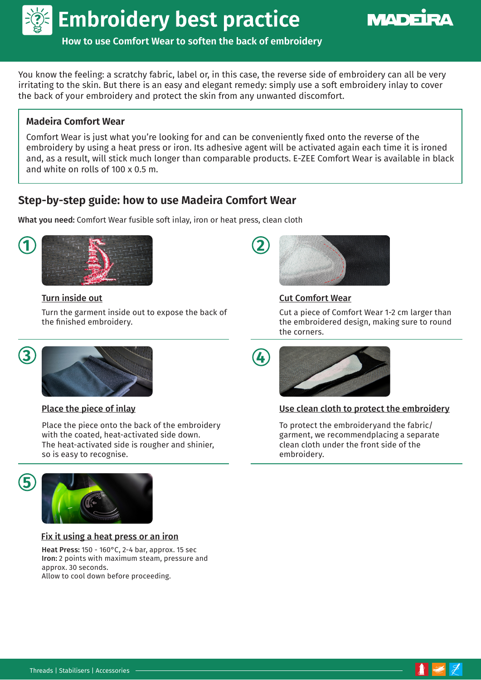



**How to use Comfort Wear to soften the back of embroidery**

You know the feeling: a scratchy fabric, label or, in this case, the reverse side of embroidery can all be very irritating to the skin. But there is an easy and elegant remedy: simply use a soft embroidery inlay to cover the back of your embroidery and protect the skin from any unwanted discomfort.

## **Madeira Comfort Wear**

Comfort Wear is just what you're looking for and can be conveniently fixed onto the reverse of the embroidery by using a heat press or iron. Its adhesive agent will be activated again each time it is ironed and, as a result, will stick much longer than comparable products. E-ZEE Comfort Wear is available in black and white on rolls of 100 x 0.5 m.

# **Step-by-step guide: how to use Madeira Comfort Wear**

What you need: Comfort Wear fusible soft inlay, iron or heat press, clean cloth



Turn the garment inside out to expose the back of the finished embroidery.



Place the piece onto the back of the embroidery with the coated, heat-activated side down. The heat-activated side is rougher and shinier, so is easy to recognise.





Fix it using a heat press or an iron

Heat Press: 150 - 160°C, 2-4 bar, approx. 15 sec Iron: 2 points with maximum steam, pressure and approx. 30 seconds. Allow to cool down before proceeding.



## Turn inside out Cut Comfort Wear

Cut a piece of Comfort Wear 1-2 cm larger than the embroidered design, making sure to round the corners.



### Place the piece of inlay notice that the protect the embroidery

To protect the embroideryand the fabric/ garment, we recommendplacing a separate clean cloth under the front side of the embroidery.